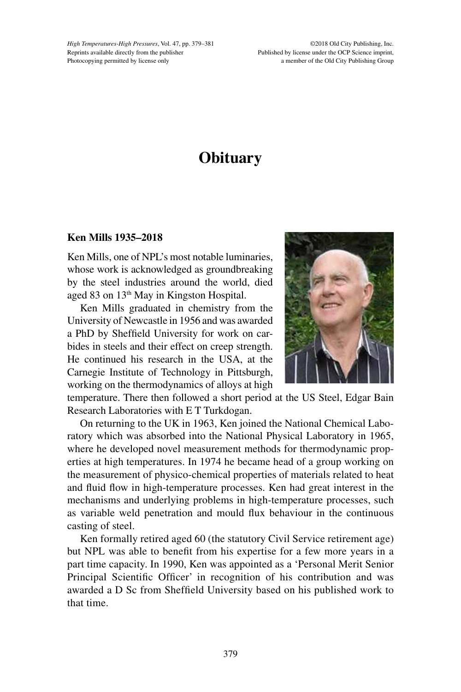*High Temperatures-High Pressures*, Vol. 47, pp. 379–381 Reprints available directly from the publisher Photocopying permitted by license only

©2018 Old City Publishing, Inc. Published by license under the OCP Science imprint, a member of the Old City Publishing Group

## **Obituary**

## **Ken Mills 1935–2018**

Ken Mills, one of NPL's most notable luminaries, whose work is acknowledged as groundbreaking by the steel industries around the world, died aged 83 on 13<sup>th</sup> May in Kingston Hospital.

Ken Mills graduated in chemistry from the University of Newcastle in 1956 and was awarded a PhD by Sheffield University for work on carbides in steels and their effect on creep strength. He continued his research in the USA, at the Carnegie Institute of Technology in Pittsburgh, working on the thermodynamics of alloys at high



temperature. There then followed a short period at the US Steel, Edgar Bain Research Laboratories with E T Turkdogan.

On returning to the UK in 1963, Ken joined the National Chemical Laboratory which was absorbed into the National Physical Laboratory in 1965, where he developed novel measurement methods for thermodynamic properties at high temperatures. In 1974 he became head of a group working on the measurement of physico-chemical properties of materials related to heat and fluid flow in high-temperature processes. Ken had great interest in the mechanisms and underlying problems in high-temperature processes, such as variable weld penetration and mould flux behaviour in the continuous casting of steel.

Ken formally retired aged 60 (the statutory Civil Service retirement age) but NPL was able to benefit from his expertise for a few more years in a part time capacity. In 1990, Ken was appointed as a 'Personal Merit Senior Principal Scientific Officer' in recognition of his contribution and was awarded a D Sc from Sheffield University based on his published work to that time.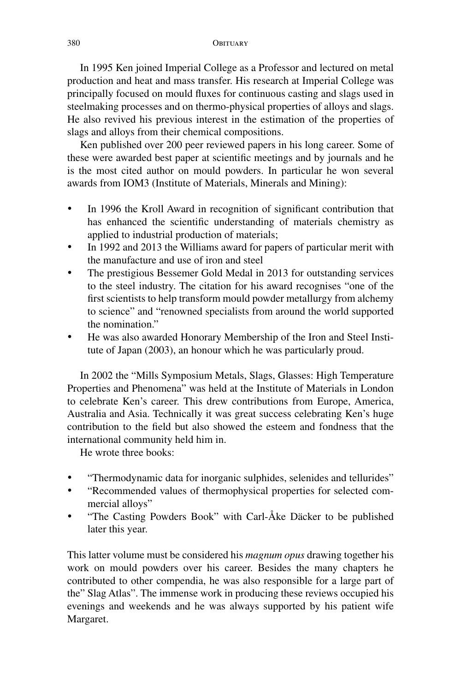In 1995 Ken joined Imperial College as a Professor and lectured on metal production and heat and mass transfer. His research at Imperial College was principally focused on mould fluxes for continuous casting and slags used in steelmaking processes and on thermo-physical properties of alloys and slags. He also revived his previous interest in the estimation of the properties of slags and alloys from their chemical compositions.

Ken published over 200 peer reviewed papers in his long career. Some of these were awarded best paper at scientific meetings and by journals and he is the most cited author on mould powders. In particular he won several awards from IOM3 (Institute of Materials, Minerals and Mining):

- In 1996 the Kroll Award in recognition of significant contribution that has enhanced the scientific understanding of materials chemistry as applied to industrial production of materials;
- In 1992 and 2013 the Williams award for papers of particular merit with the manufacture and use of iron and steel
- The prestigious Bessemer Gold Medal in 2013 for outstanding services to the steel industry. The citation for his award recognises "one of the first scientists to help transform mould powder metallurgy from alchemy to science" and "renowned specialists from around the world supported the nomination"
- He was also awarded Honorary Membership of the Iron and Steel Institute of Japan (2003), an honour which he was particularly proud.

In 2002 the "Mills Symposium Metals, Slags, Glasses: High Temperature Properties and Phenomena" was held at the Institute of Materials in London to celebrate Ken's career. This drew contributions from Europe, America, Australia and Asia. Technically it was great success celebrating Ken's huge contribution to the field but also showed the esteem and fondness that the international community held him in.

He wrote three books:

- "Thermodynamic data for inorganic sulphides, selenides and tellurides"
- • "Recommended values of thermophysical properties for selected commercial alloys"
- • "The Casting Powders Book" with Carl-Åke Däcker to be published later this year.

This latter volume must be considered his *magnum opus* drawing together his work on mould powders over his career. Besides the many chapters he contributed to other compendia, he was also responsible for a large part of the" Slag Atlas". The immense work in producing these reviews occupied his evenings and weekends and he was always supported by his patient wife Margaret.